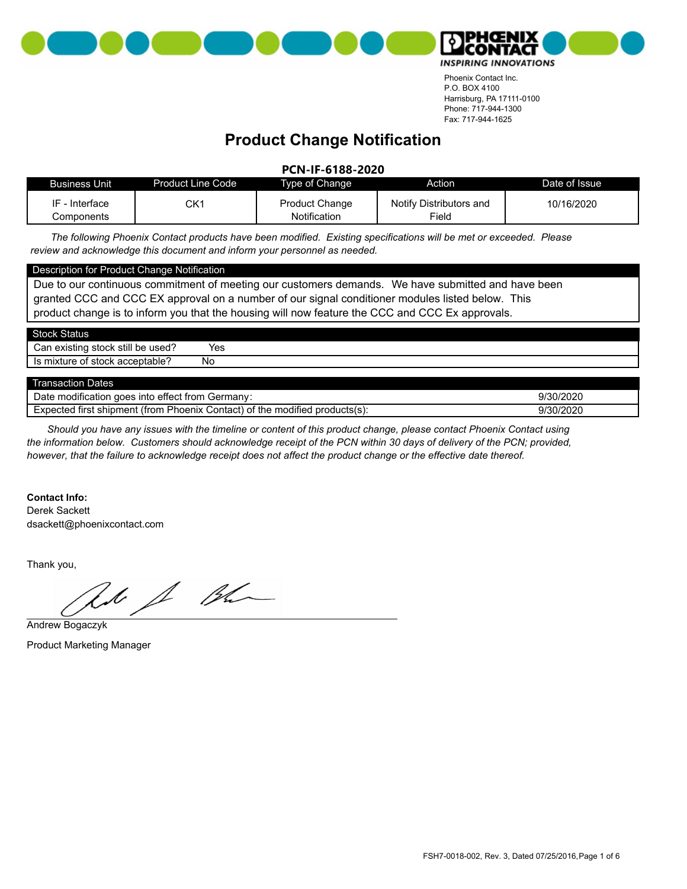



#### **Product Change Notification**

**PCN-IF-6188-2020**

| <b>Business Unit</b>         | <b>Product Line Code</b> | Type of Change                        | Action                                       | Date of Issue |
|------------------------------|--------------------------|---------------------------------------|----------------------------------------------|---------------|
| IF - Interface<br>Components | CK1                      | <b>Product Change</b><br>Notification | Notify Distributors and<br><sup>⊏</sup> iela | 10/16/2020    |

*The following Phoenix Contact products have been modified. Existing specifications will be met or exceeded. Please review and acknowledge this document and inform your personnel as needed.*

#### Description for Product Change Notification

Due to our continuous commitment of meeting our customers demands. We have submitted and have been granted CCC and CCC EX approval on a number of our signal conditioner modules listed below. This product change is to inform you that the housing will now feature the CCC and CCC Ex approvals.

| <b>Stock Status</b>               |     |  |
|-----------------------------------|-----|--|
| Can existing stock still be used? | Yes |  |
| Is mixture of stock acceptable?   | No  |  |
|                                   |     |  |
| <b>Transaction Dates</b>          |     |  |

| $\cdots$<br>Germany <sup>-</sup><br>modification<br>. trom<br>Jate<br>effect fr<br>does into                        | '30/2020       |
|---------------------------------------------------------------------------------------------------------------------|----------------|
| <br>∵the<br>Phoenix<br>(trom<br>contact) ن<br>l products(s):<br>modified<br>tırst<br>shipment<br>-vr<br>ected<br>Ωt | )/2020<br>'30/ |
|                                                                                                                     |                |

*Should you have any issues with the timeline or content of this product change, please contact Phoenix Contact using the information below. Customers should acknowledge receipt of the PCN within 30 days of delivery of the PCN; provided, however, that the failure to acknowledge receipt does not affect the product change or the effective date thereof.*

#### **Contact Info:**

dsackett@phoenixcontact.com Derek Sackett

Thank you,

as & the

Andrew Bogaczyk

Product Marketing Manager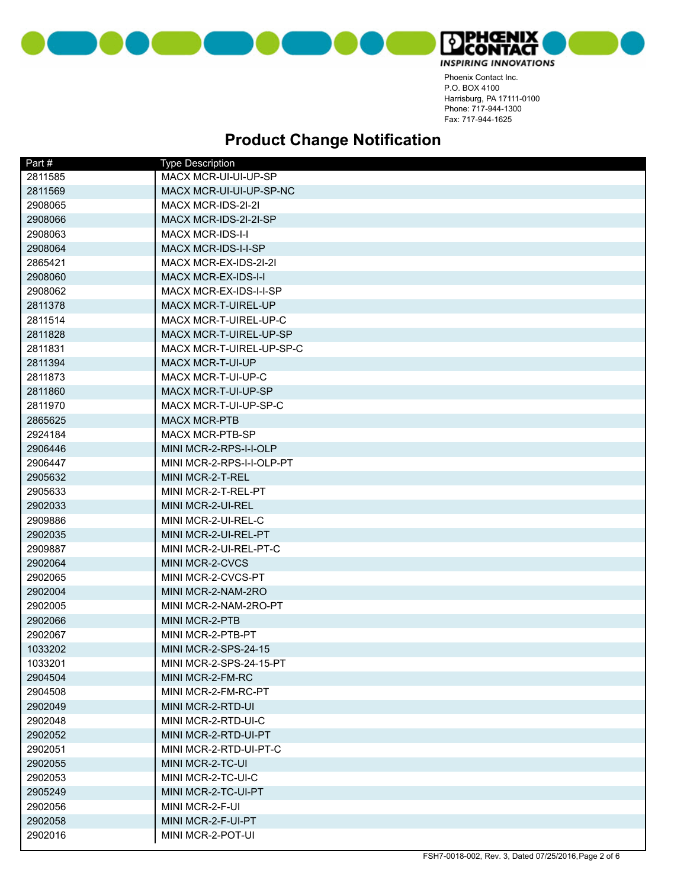



| Part#   | <b>Type Description</b>                       |
|---------|-----------------------------------------------|
| 2811585 | MACX MCR-UI-UI-UP-SP                          |
| 2811569 | MACX MCR-UI-UI-UP-SP-NC                       |
| 2908065 | MACX MCR-IDS-2I-2I                            |
| 2908066 | MACX MCR-IDS-2I-2I-SP                         |
| 2908063 | <b>MACX MCR-IDS-I-I</b>                       |
| 2908064 | <b>MACX MCR-IDS-I-I-SP</b>                    |
| 2865421 | MACX MCR-EX-IDS-2I-2I                         |
| 2908060 | <b>MACX MCR-EX-IDS-I-I</b>                    |
| 2908062 | MACX MCR-EX-IDS-I-I-SP                        |
| 2811378 | MACX MCR-T-UIREL-UP                           |
| 2811514 | MACX MCR-T-UIREL-UP-C                         |
| 2811828 | MACX MCR-T-UIREL-UP-SP                        |
| 2811831 | MACX MCR-T-UIREL-UP-SP-C                      |
| 2811394 | MACX MCR-T-UI-UP                              |
| 2811873 | MACX MCR-T-UI-UP-C                            |
| 2811860 | <b>MACX MCR-T-UI-UP-SP</b>                    |
| 2811970 | MACX MCR-T-UI-UP-SP-C                         |
| 2865625 |                                               |
|         | <b>MACX MCR-PTB</b><br><b>MACX MCR-PTB-SP</b> |
| 2924184 |                                               |
| 2906446 | MINI MCR-2-RPS-I-I-OLP                        |
| 2906447 | MINI MCR-2-RPS-I-I-OLP-PT                     |
| 2905632 | MINI MCR-2-T-REL                              |
| 2905633 | MINI MCR-2-T-REL-PT                           |
| 2902033 | MINI MCR-2-UI-REL                             |
| 2909886 | MINI MCR-2-UI-REL-C                           |
| 2902035 | MINI MCR-2-UI-REL-PT                          |
| 2909887 | MINI MCR-2-UI-REL-PT-C                        |
| 2902064 | MINI MCR-2-CVCS                               |
| 2902065 | MINI MCR-2-CVCS-PT                            |
| 2902004 | MINI MCR-2-NAM-2RO                            |
| 2902005 | MINI MCR-2-NAM-2RO-PT                         |
| 2902066 | MINI MCR-2-PTB                                |
| 2902067 | MINI MCR-2-PTB-PT                             |
| 1033202 | MINI MCR-2-SPS-24-15                          |
| 1033201 | MINI MCR-2-SPS-24-15-PT                       |
| 2904504 | MINI MCR-2-FM-RC                              |
| 2904508 | MINI MCR-2-FM-RC-PT                           |
| 2902049 | MINI MCR-2-RTD-UI                             |
| 2902048 | MINI MCR-2-RTD-UI-C                           |
| 2902052 | MINI MCR-2-RTD-UI-PT                          |
| 2902051 | MINI MCR-2-RTD-UI-PT-C                        |
| 2902055 | MINI MCR-2-TC-UI                              |
| 2902053 | MINI MCR-2-TC-UI-C                            |
| 2905249 | MINI MCR-2-TC-UI-PT                           |
| 2902056 | MINI MCR-2-F-UI                               |
| 2902058 | MINI MCR-2-F-UI-PT                            |
| 2902016 | MINI MCR-2-POT-UI                             |
|         |                                               |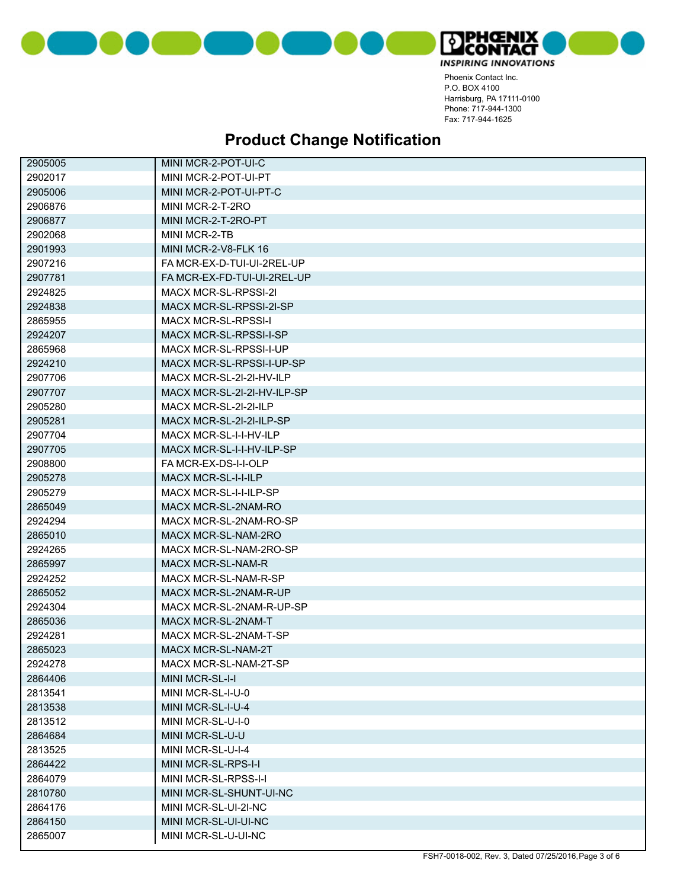



| MINI MCR-2-POT-UI-PT<br>2902017<br>2905006<br>MINI MCR-2-POT-UI-PT-C<br>2906876<br>MINI MCR-2-T-2RO<br>2906877<br>MINI MCR-2-T-2RO-PT<br>2902068<br>MINI MCR-2-TB<br>2901993<br>MINI MCR-2-V8-FLK 16<br>2907216<br>FA MCR-EX-D-TUI-UI-2REL-UP<br>2907781<br>FA MCR-EX-FD-TUI-UI-2REL-UP<br>2924825<br>MACX MCR-SL-RPSSI-21<br>MACX MCR-SL-RPSSI-2I-SP<br>2924838<br>2865955<br><b>MACX MCR-SL-RPSSI-I</b><br>2924207<br>MACX MCR-SL-RPSSI-I-SP<br>2865968<br>MACX MCR-SL-RPSSI-I-UP<br>2924210<br>MACX MCR-SL-RPSSI-I-UP-SP<br>2907706<br>MACX MCR-SL-2I-2I-HV-ILP<br>2907707<br>MACX MCR-SL-2I-2I-HV-ILP-SP<br>2905280<br>MACX MCR-SL-2I-2I-ILP<br>2905281<br>MACX MCR-SL-2I-2I-ILP-SP<br>2907704<br>MACX MCR-SL-I-I-HV-ILP<br>2907705<br>MACX MCR-SL-I-I-HV-ILP-SP<br>2908800<br>FA MCR-EX-DS-I-I-OLP<br>2905278<br>MACX MCR-SL-I-I-ILP<br>2905279<br>MACX MCR-SL-I-I-ILP-SP<br>2865049<br>MACX MCR-SL-2NAM-RO<br>2924294<br>MACX MCR-SL-2NAM-RO-SP<br>2865010<br>MACX MCR-SL-NAM-2RO<br>2924265<br>MACX MCR-SL-NAM-2RO-SP<br>MACX MCR-SL-NAM-R<br>2865997<br>2924252<br>MACX MCR-SL-NAM-R-SP<br>MACX MCR-SL-2NAM-R-UP<br>2865052<br>2924304<br>MACX MCR-SL-2NAM-R-UP-SP<br>2865036<br>MACX MCR-SL-2NAM-T<br>2924281<br>MACX MCR-SL-2NAM-T-SP<br>2865023<br>MACX MCR-SL-NAM-2T<br>MACX MCR-SL-NAM-2T-SP<br>2924278<br>2864406<br>MINI MCR-SL-I-I<br>2813541<br>MINI MCR-SL-I-U-0<br>MINI MCR-SL-I-U-4<br>2813538 | 2905005 | MINI MCR-2-POT-UI-C |
|--------------------------------------------------------------------------------------------------------------------------------------------------------------------------------------------------------------------------------------------------------------------------------------------------------------------------------------------------------------------------------------------------------------------------------------------------------------------------------------------------------------------------------------------------------------------------------------------------------------------------------------------------------------------------------------------------------------------------------------------------------------------------------------------------------------------------------------------------------------------------------------------------------------------------------------------------------------------------------------------------------------------------------------------------------------------------------------------------------------------------------------------------------------------------------------------------------------------------------------------------------------------------------------------------------------------------------------------------------------------------------------------------------------------|---------|---------------------|
|                                                                                                                                                                                                                                                                                                                                                                                                                                                                                                                                                                                                                                                                                                                                                                                                                                                                                                                                                                                                                                                                                                                                                                                                                                                                                                                                                                                                                    |         |                     |
|                                                                                                                                                                                                                                                                                                                                                                                                                                                                                                                                                                                                                                                                                                                                                                                                                                                                                                                                                                                                                                                                                                                                                                                                                                                                                                                                                                                                                    |         |                     |
|                                                                                                                                                                                                                                                                                                                                                                                                                                                                                                                                                                                                                                                                                                                                                                                                                                                                                                                                                                                                                                                                                                                                                                                                                                                                                                                                                                                                                    |         |                     |
|                                                                                                                                                                                                                                                                                                                                                                                                                                                                                                                                                                                                                                                                                                                                                                                                                                                                                                                                                                                                                                                                                                                                                                                                                                                                                                                                                                                                                    |         |                     |
|                                                                                                                                                                                                                                                                                                                                                                                                                                                                                                                                                                                                                                                                                                                                                                                                                                                                                                                                                                                                                                                                                                                                                                                                                                                                                                                                                                                                                    |         |                     |
|                                                                                                                                                                                                                                                                                                                                                                                                                                                                                                                                                                                                                                                                                                                                                                                                                                                                                                                                                                                                                                                                                                                                                                                                                                                                                                                                                                                                                    |         |                     |
|                                                                                                                                                                                                                                                                                                                                                                                                                                                                                                                                                                                                                                                                                                                                                                                                                                                                                                                                                                                                                                                                                                                                                                                                                                                                                                                                                                                                                    |         |                     |
|                                                                                                                                                                                                                                                                                                                                                                                                                                                                                                                                                                                                                                                                                                                                                                                                                                                                                                                                                                                                                                                                                                                                                                                                                                                                                                                                                                                                                    |         |                     |
|                                                                                                                                                                                                                                                                                                                                                                                                                                                                                                                                                                                                                                                                                                                                                                                                                                                                                                                                                                                                                                                                                                                                                                                                                                                                                                                                                                                                                    |         |                     |
|                                                                                                                                                                                                                                                                                                                                                                                                                                                                                                                                                                                                                                                                                                                                                                                                                                                                                                                                                                                                                                                                                                                                                                                                                                                                                                                                                                                                                    |         |                     |
|                                                                                                                                                                                                                                                                                                                                                                                                                                                                                                                                                                                                                                                                                                                                                                                                                                                                                                                                                                                                                                                                                                                                                                                                                                                                                                                                                                                                                    |         |                     |
|                                                                                                                                                                                                                                                                                                                                                                                                                                                                                                                                                                                                                                                                                                                                                                                                                                                                                                                                                                                                                                                                                                                                                                                                                                                                                                                                                                                                                    |         |                     |
|                                                                                                                                                                                                                                                                                                                                                                                                                                                                                                                                                                                                                                                                                                                                                                                                                                                                                                                                                                                                                                                                                                                                                                                                                                                                                                                                                                                                                    |         |                     |
|                                                                                                                                                                                                                                                                                                                                                                                                                                                                                                                                                                                                                                                                                                                                                                                                                                                                                                                                                                                                                                                                                                                                                                                                                                                                                                                                                                                                                    |         |                     |
|                                                                                                                                                                                                                                                                                                                                                                                                                                                                                                                                                                                                                                                                                                                                                                                                                                                                                                                                                                                                                                                                                                                                                                                                                                                                                                                                                                                                                    |         |                     |
|                                                                                                                                                                                                                                                                                                                                                                                                                                                                                                                                                                                                                                                                                                                                                                                                                                                                                                                                                                                                                                                                                                                                                                                                                                                                                                                                                                                                                    |         |                     |
|                                                                                                                                                                                                                                                                                                                                                                                                                                                                                                                                                                                                                                                                                                                                                                                                                                                                                                                                                                                                                                                                                                                                                                                                                                                                                                                                                                                                                    |         |                     |
|                                                                                                                                                                                                                                                                                                                                                                                                                                                                                                                                                                                                                                                                                                                                                                                                                                                                                                                                                                                                                                                                                                                                                                                                                                                                                                                                                                                                                    |         |                     |
|                                                                                                                                                                                                                                                                                                                                                                                                                                                                                                                                                                                                                                                                                                                                                                                                                                                                                                                                                                                                                                                                                                                                                                                                                                                                                                                                                                                                                    |         |                     |
|                                                                                                                                                                                                                                                                                                                                                                                                                                                                                                                                                                                                                                                                                                                                                                                                                                                                                                                                                                                                                                                                                                                                                                                                                                                                                                                                                                                                                    |         |                     |
|                                                                                                                                                                                                                                                                                                                                                                                                                                                                                                                                                                                                                                                                                                                                                                                                                                                                                                                                                                                                                                                                                                                                                                                                                                                                                                                                                                                                                    |         |                     |
|                                                                                                                                                                                                                                                                                                                                                                                                                                                                                                                                                                                                                                                                                                                                                                                                                                                                                                                                                                                                                                                                                                                                                                                                                                                                                                                                                                                                                    |         |                     |
|                                                                                                                                                                                                                                                                                                                                                                                                                                                                                                                                                                                                                                                                                                                                                                                                                                                                                                                                                                                                                                                                                                                                                                                                                                                                                                                                                                                                                    |         |                     |
|                                                                                                                                                                                                                                                                                                                                                                                                                                                                                                                                                                                                                                                                                                                                                                                                                                                                                                                                                                                                                                                                                                                                                                                                                                                                                                                                                                                                                    |         |                     |
|                                                                                                                                                                                                                                                                                                                                                                                                                                                                                                                                                                                                                                                                                                                                                                                                                                                                                                                                                                                                                                                                                                                                                                                                                                                                                                                                                                                                                    |         |                     |
|                                                                                                                                                                                                                                                                                                                                                                                                                                                                                                                                                                                                                                                                                                                                                                                                                                                                                                                                                                                                                                                                                                                                                                                                                                                                                                                                                                                                                    |         |                     |
|                                                                                                                                                                                                                                                                                                                                                                                                                                                                                                                                                                                                                                                                                                                                                                                                                                                                                                                                                                                                                                                                                                                                                                                                                                                                                                                                                                                                                    |         |                     |
|                                                                                                                                                                                                                                                                                                                                                                                                                                                                                                                                                                                                                                                                                                                                                                                                                                                                                                                                                                                                                                                                                                                                                                                                                                                                                                                                                                                                                    |         |                     |
|                                                                                                                                                                                                                                                                                                                                                                                                                                                                                                                                                                                                                                                                                                                                                                                                                                                                                                                                                                                                                                                                                                                                                                                                                                                                                                                                                                                                                    |         |                     |
|                                                                                                                                                                                                                                                                                                                                                                                                                                                                                                                                                                                                                                                                                                                                                                                                                                                                                                                                                                                                                                                                                                                                                                                                                                                                                                                                                                                                                    |         |                     |
|                                                                                                                                                                                                                                                                                                                                                                                                                                                                                                                                                                                                                                                                                                                                                                                                                                                                                                                                                                                                                                                                                                                                                                                                                                                                                                                                                                                                                    |         |                     |
|                                                                                                                                                                                                                                                                                                                                                                                                                                                                                                                                                                                                                                                                                                                                                                                                                                                                                                                                                                                                                                                                                                                                                                                                                                                                                                                                                                                                                    |         |                     |
|                                                                                                                                                                                                                                                                                                                                                                                                                                                                                                                                                                                                                                                                                                                                                                                                                                                                                                                                                                                                                                                                                                                                                                                                                                                                                                                                                                                                                    |         |                     |
|                                                                                                                                                                                                                                                                                                                                                                                                                                                                                                                                                                                                                                                                                                                                                                                                                                                                                                                                                                                                                                                                                                                                                                                                                                                                                                                                                                                                                    |         |                     |
|                                                                                                                                                                                                                                                                                                                                                                                                                                                                                                                                                                                                                                                                                                                                                                                                                                                                                                                                                                                                                                                                                                                                                                                                                                                                                                                                                                                                                    |         |                     |
|                                                                                                                                                                                                                                                                                                                                                                                                                                                                                                                                                                                                                                                                                                                                                                                                                                                                                                                                                                                                                                                                                                                                                                                                                                                                                                                                                                                                                    |         |                     |
|                                                                                                                                                                                                                                                                                                                                                                                                                                                                                                                                                                                                                                                                                                                                                                                                                                                                                                                                                                                                                                                                                                                                                                                                                                                                                                                                                                                                                    |         |                     |
|                                                                                                                                                                                                                                                                                                                                                                                                                                                                                                                                                                                                                                                                                                                                                                                                                                                                                                                                                                                                                                                                                                                                                                                                                                                                                                                                                                                                                    |         |                     |
| 2813512<br>MINI MCR-SL-U-I-0                                                                                                                                                                                                                                                                                                                                                                                                                                                                                                                                                                                                                                                                                                                                                                                                                                                                                                                                                                                                                                                                                                                                                                                                                                                                                                                                                                                       |         |                     |
| MINI MCR-SL-U-U<br>2864684                                                                                                                                                                                                                                                                                                                                                                                                                                                                                                                                                                                                                                                                                                                                                                                                                                                                                                                                                                                                                                                                                                                                                                                                                                                                                                                                                                                         |         |                     |
| MINI MCR-SL-U-I-4<br>2813525                                                                                                                                                                                                                                                                                                                                                                                                                                                                                                                                                                                                                                                                                                                                                                                                                                                                                                                                                                                                                                                                                                                                                                                                                                                                                                                                                                                       |         |                     |
| MINI MCR-SL-RPS-I-I<br>2864422                                                                                                                                                                                                                                                                                                                                                                                                                                                                                                                                                                                                                                                                                                                                                                                                                                                                                                                                                                                                                                                                                                                                                                                                                                                                                                                                                                                     |         |                     |
| 2864079<br>MINI MCR-SL-RPSS-I-I                                                                                                                                                                                                                                                                                                                                                                                                                                                                                                                                                                                                                                                                                                                                                                                                                                                                                                                                                                                                                                                                                                                                                                                                                                                                                                                                                                                    |         |                     |
| 2810780<br>MINI MCR-SL-SHUNT-UI-NC                                                                                                                                                                                                                                                                                                                                                                                                                                                                                                                                                                                                                                                                                                                                                                                                                                                                                                                                                                                                                                                                                                                                                                                                                                                                                                                                                                                 |         |                     |
| 2864176<br>MINI MCR-SL-UI-2I-NC                                                                                                                                                                                                                                                                                                                                                                                                                                                                                                                                                                                                                                                                                                                                                                                                                                                                                                                                                                                                                                                                                                                                                                                                                                                                                                                                                                                    |         |                     |
| 2864150<br>MINI MCR-SL-UI-UI-NC                                                                                                                                                                                                                                                                                                                                                                                                                                                                                                                                                                                                                                                                                                                                                                                                                                                                                                                                                                                                                                                                                                                                                                                                                                                                                                                                                                                    |         |                     |
| 2865007<br>MINI MCR-SL-U-UI-NC                                                                                                                                                                                                                                                                                                                                                                                                                                                                                                                                                                                                                                                                                                                                                                                                                                                                                                                                                                                                                                                                                                                                                                                                                                                                                                                                                                                     |         |                     |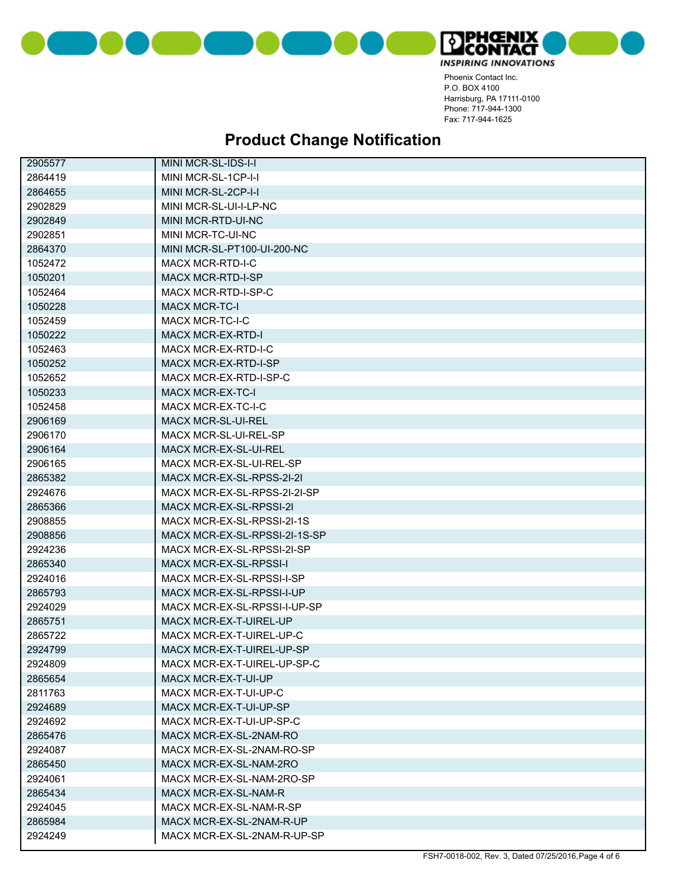



| 2905577 | MINI MCR-SL-IDS-I-I           |
|---------|-------------------------------|
| 2864419 | MINI MCR-SL-1CP-I-I           |
| 2864655 | MINI MCR-SL-2CP-I-I           |
| 2902829 | MINI MCR-SL-UI-I-LP-NC        |
| 2902849 | MINI MCR-RTD-UI-NC            |
| 2902851 | MINI MCR-TC-UI-NC             |
| 2864370 | MINI MCR-SL-PT100-UI-200-NC   |
| 1052472 | <b>MACX MCR-RTD-I-C</b>       |
| 1050201 | <b>MACX MCR-RTD-I-SP</b>      |
| 1052464 | MACX MCR-RTD-I-SP-C           |
| 1050228 | <b>MACX MCR-TC-I</b>          |
| 1052459 | <b>MACX MCR-TC-I-C</b>        |
| 1050222 | <b>MACX MCR-EX-RTD-I</b>      |
| 1052463 | MACX MCR-EX-RTD-I-C           |
| 1050252 | MACX MCR-EX-RTD-I-SP          |
| 1052652 | MACX MCR-EX-RTD-I-SP-C        |
| 1050233 | <b>MACX MCR-EX-TC-I</b>       |
| 1052458 | MACX MCR-EX-TC-I-C            |
| 2906169 | MACX MCR-SL-UI-REL            |
| 2906170 | MACX MCR-SL-UI-REL-SP         |
| 2906164 | MACX MCR-EX-SL-UI-REL         |
| 2906165 | MACX MCR-EX-SL-UI-REL-SP      |
| 2865382 | MACX MCR-EX-SL-RPSS-2I-2I     |
| 2924676 | MACX MCR-EX-SL-RPSS-2I-2I-SP  |
| 2865366 | MACX MCR-EX-SL-RPSSI-21       |
| 2908855 | MACX MCR-EX-SL-RPSSI-2I-1S    |
| 2908856 | MACX MCR-EX-SL-RPSSI-2I-1S-SP |
| 2924236 | MACX MCR-EX-SL-RPSSI-2I-SP    |
| 2865340 | MACX MCR-EX-SL-RPSSI-I        |
| 2924016 | MACX MCR-EX-SL-RPSSI-I-SP     |
| 2865793 | MACX MCR-EX-SL-RPSSI-I-UP     |
| 2924029 | MACX MCR-EX-SL-RPSSI-I-UP-SP  |
| 2865751 | MACX MCR-EX-T-UIREL-UP        |
| 2865722 | MACX MCR-EX-T-UIREL-UP-C      |
| 2924799 | MACX MCR-EX-T-UIREL-UP-SP     |
| 2924809 | MACX MCR-EX-T-UIREL-UP-SP-C   |
| 2865654 | MACX MCR-EX-T-UI-UP           |
| 2811763 | MACX MCR-EX-T-UI-UP-C         |
| 2924689 | MACX MCR-EX-T-UI-UP-SP        |
| 2924692 | MACX MCR-EX-T-UI-UP-SP-C      |
| 2865476 | MACX MCR-EX-SL-2NAM-RO        |
| 2924087 | MACX MCR-EX-SL-2NAM-RO-SP     |
| 2865450 | MACX MCR-EX-SL-NAM-2RO        |
| 2924061 | MACX MCR-EX-SL-NAM-2RO-SP     |
| 2865434 | MACX MCR-EX-SL-NAM-R          |
| 2924045 | MACX MCR-EX-SL-NAM-R-SP       |
| 2865984 | MACX MCR-EX-SL-2NAM-R-UP      |
| 2924249 | MACX MCR-EX-SL-2NAM-R-UP-SP   |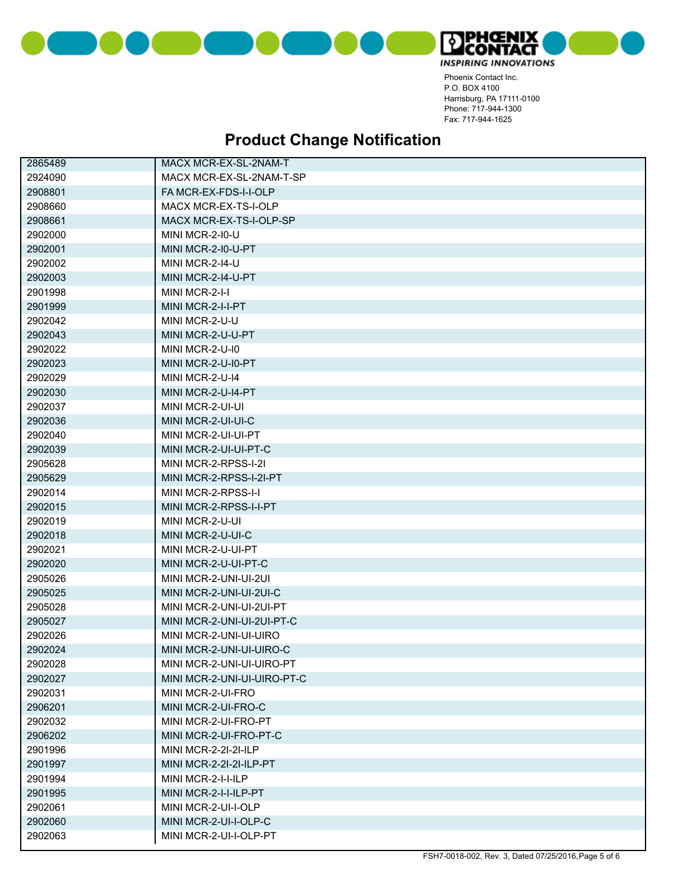



| 2865489 | MACX MCR-EX-SL-2NAM-T       |
|---------|-----------------------------|
| 2924090 | MACX MCR-EX-SL-2NAM-T-SP    |
| 2908801 | FA MCR-EX-FDS-I-I-OLP       |
| 2908660 | MACX MCR-EX-TS-I-OLP        |
| 2908661 | MACX MCR-EX-TS-I-OLP-SP     |
| 2902000 | MINI MCR-2-I0-U             |
| 2902001 | MINI MCR-2-I0-U-PT          |
| 2902002 | MINI MCR-2-14-U             |
| 2902003 | MINI MCR-2-I4-U-PT          |
| 2901998 | MINI MCR-2-I-I              |
| 2901999 | MINI MCR-2-I-I-PT           |
| 2902042 | MINI MCR-2-U-U              |
| 2902043 | MINI MCR-2-U-U-PT           |
| 2902022 | MINI MCR-2-U-I0             |
| 2902023 | MINI MCR-2-U-I0-PT          |
| 2902029 | MINI MCR-2-U-I4             |
| 2902030 | MINI MCR-2-U-I4-PT          |
| 2902037 | MINI MCR-2-UI-UI            |
| 2902036 | MINI MCR-2-UI-UI-C          |
| 2902040 | MINI MCR-2-UI-UI-PT         |
| 2902039 | MINI MCR-2-UI-UI-PT-C       |
| 2905628 | MINI MCR-2-RPSS-I-2I        |
| 2905629 | MINI MCR-2-RPSS-I-2I-PT     |
| 2902014 | MINI MCR-2-RPSS-I-I         |
| 2902015 | MINI MCR-2-RPSS-I-I-PT      |
| 2902019 | MINI MCR-2-U-UI             |
| 2902018 | MINI MCR-2-U-UI-C           |
| 2902021 | MINI MCR-2-U-UI-PT          |
| 2902020 | MINI MCR-2-U-UI-PT-C        |
| 2905026 | MINI MCR-2-UNI-UI-2UI       |
| 2905025 | MINI MCR-2-UNI-UI-2UI-C     |
| 2905028 | MINI MCR-2-UNI-UI-2UI-PT    |
| 2905027 | MINI MCR-2-UNI-UI-2UI-PT-C  |
| 2902026 | MINI MCR-2-UNI-UI-UIRO      |
| 2902024 | MINI MCR-2-UNI-UI-UIRO-C    |
| 2902028 | MINI MCR-2-UNI-UI-UIRO-PT   |
| 2902027 | MINI MCR-2-UNI-UI-UIRO-PT-C |
| 2902031 | MINI MCR-2-UI-FRO           |
| 2906201 | MINI MCR-2-UI-FRO-C         |
| 2902032 | MINI MCR-2-UI-FRO-PT        |
| 2906202 | MINI MCR-2-UI-FRO-PT-C      |
| 2901996 | MINI MCR-2-2I-2I-ILP        |
| 2901997 | MINI MCR-2-2I-2I-ILP-PT     |
| 2901994 | MINI MCR-2-I-I-ILP          |
| 2901995 | MINI MCR-2-I-I-ILP-PT       |
| 2902061 | MINI MCR-2-UI-I-OLP         |
| 2902060 | MINI MCR-2-UI-I-OLP-C       |
| 2902063 | MINI MCR-2-UI-I-OLP-PT      |
|         |                             |